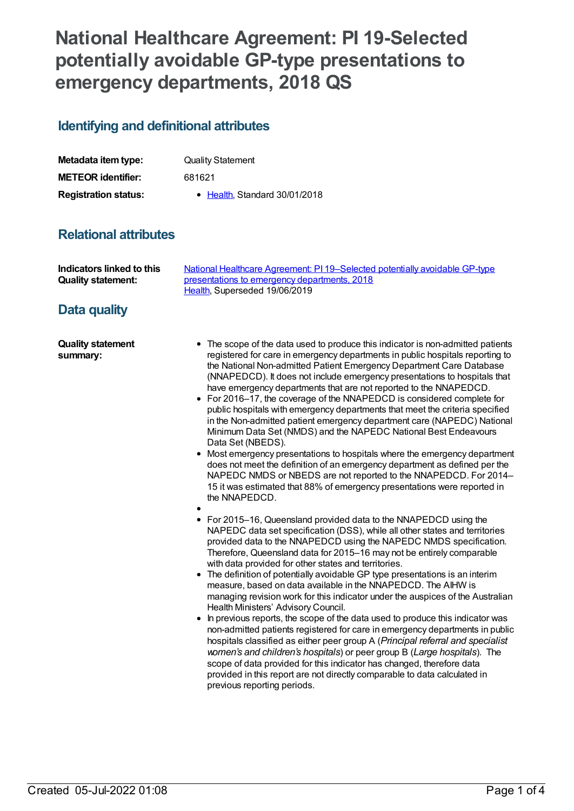# **National Healthcare Agreement: PI 19-Selected potentially avoidable GP-type presentations to emergency departments, 2018 QS**

#### **Identifying and definitional attributes**

| Metadata item type:         | <b>Quality Statement</b>      |
|-----------------------------|-------------------------------|
| <b>METEOR identifier:</b>   | 681621                        |
| <b>Registration status:</b> | • Health, Standard 30/01/2018 |

## **Relational attributes**

| Indicators linked to this | National Healthcare Agreement: PI 19–Selected potentially avoidable GP-type |
|---------------------------|-----------------------------------------------------------------------------|
| <b>Quality statement:</b> | presentations to emergency departments, 2018                                |
|                           | Health. Superseded 19/06/2019                                               |

## **Data quality**

**Quality statement summary:**

- The scope of the data used to produce this indicator is non-admitted patients registered for care in emergency departments in public hospitals reporting to the National Non-admitted Patient Emergency Department Care Database (NNAPEDCD). It does not include emergency presentations to hospitals that have emergency departments that are not reported to the NNAPEDCD.
- For 2016–17, the coverage of the NNAPEDCD is considered complete for  $\bullet$ public hospitals with emergency departments that meet the criteria specified in the Non-admitted patient emergency department care (NAPEDC) National Minimum Data Set (NMDS) and the NAPEDC National Best Endeavours Data Set (NBEDS).
- Most emergency presentations to hospitals where the emergency department does not meet the definition of an emergency department as defined per the NAPEDC NMDS or NBEDS are not reported to the NNAPEDCD. For 2014– 15 it was estimated that 88% of emergency presentations were reported in the NNAPEDCD.

- For 2015–16, Queensland provided data to the NNAPEDCD using the NAPEDC data set specification (DSS), while all other states and territories provided data to the NNAPEDCD using the NAPEDC NMDS specification. Therefore, Queensland data for 2015–16 may not be entirely comparable with data provided for other states and territories.
- The definition of potentially avoidable GP type presentations is an interim measure, based on data available in the NNAPEDCD. The AIHW is managing revision work for this indicator under the auspices of the Australian Health Ministers' Advisory Council.
- In previous reports, the scope of the data used to produce this indicator was non-admitted patients registered for care in emergency departments in public hospitals classified as either peer group A (*Principal referral and specialist women's and children's hospitals*) or peer group B (*Large hospitals*). The scope of data provided for this indicator has changed, therefore data provided in this report are not directly comparable to data calculated in previous reporting periods.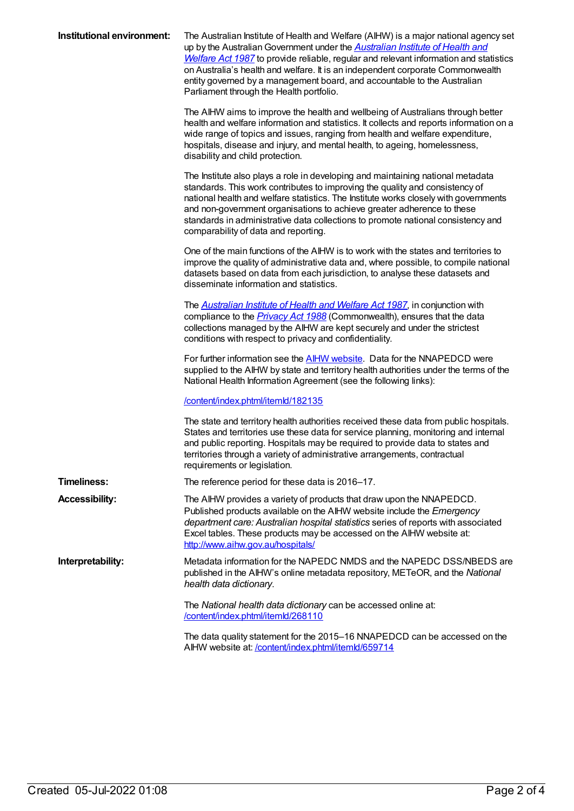| Institutional environment: | The Australian Institute of Health and Welfare (AIHW) is a major national agency set<br>up by the Australian Government under the <b>Australian Institute of Health and</b><br>Welfare Act 1987 to provide reliable, regular and relevant information and statistics<br>on Australia's health and welfare. It is an independent corporate Commonwealth<br>entity governed by a management board, and accountable to the Australian<br>Parliament through the Health portfolio. |
|----------------------------|--------------------------------------------------------------------------------------------------------------------------------------------------------------------------------------------------------------------------------------------------------------------------------------------------------------------------------------------------------------------------------------------------------------------------------------------------------------------------------|
|                            | The AIHW aims to improve the health and wellbeing of Australians through better<br>health and welfare information and statistics. It collects and reports information on a<br>wide range of topics and issues, ranging from health and welfare expenditure,<br>hospitals, disease and injury, and mental health, to ageing, homelessness,<br>disability and child protection.                                                                                                  |
|                            | The Institute also plays a role in developing and maintaining national metadata<br>standards. This work contributes to improving the quality and consistency of<br>national health and welfare statistics. The Institute works closely with governments<br>and non-government organisations to achieve greater adherence to these<br>standards in administrative data collections to promote national consistency and<br>comparability of data and reporting.                  |
|                            | One of the main functions of the AIHW is to work with the states and territories to<br>improve the quality of administrative data and, where possible, to compile national<br>datasets based on data from each jurisdiction, to analyse these datasets and<br>disseminate information and statistics.                                                                                                                                                                          |
|                            | The <b>Australian Institute of Health and Welfare Act 1987</b> , in conjunction with<br>compliance to the <i>Privacy Act 1988</i> (Commonwealth), ensures that the data<br>collections managed by the AIHW are kept securely and under the strictest<br>conditions with respect to privacy and confidentiality.                                                                                                                                                                |
|                            | For further information see the <b>AIHW</b> website. Data for the NNAPEDCD were<br>supplied to the AIHW by state and territory health authorities under the terms of the<br>National Health Information Agreement (see the following links):                                                                                                                                                                                                                                   |
|                            | /content/index.phtml/itemld/182135                                                                                                                                                                                                                                                                                                                                                                                                                                             |
|                            | The state and territory health authorities received these data from public hospitals.<br>States and territories use these data for service planning, monitoring and internal<br>and public reporting. Hospitals may be required to provide data to states and<br>territories through a variety of administrative arrangements, contractual<br>requirements or legislation.                                                                                                     |
| <b>Timeliness:</b>         | The reference period for these data is 2016-17.                                                                                                                                                                                                                                                                                                                                                                                                                                |
| <b>Accessibility:</b>      | The AIHW provides a variety of products that draw upon the NNAPEDCD.<br>Published products available on the AIHW website include the Emergency<br>department care: Australian hospital statistics series of reports with associated<br>Excel tables. These products may be accessed on the AIHW website at:<br>http://www.aihw.gov.au/hospitals/                                                                                                                               |
| Interpretability:          | Metadata information for the NAPEDC NMDS and the NAPEDC DSS/NBEDS are<br>published in the AIHW's online metadata repository, METeOR, and the National<br>health data dictionary.                                                                                                                                                                                                                                                                                               |
|                            | The National health data dictionary can be accessed online at:<br>/content/index.phtml/itemld/268110                                                                                                                                                                                                                                                                                                                                                                           |
|                            | The data quality statement for the 2015–16 NNAPEDCD can be accessed on the<br>AIHW website at: /content/index.phtml/itemld/659714                                                                                                                                                                                                                                                                                                                                              |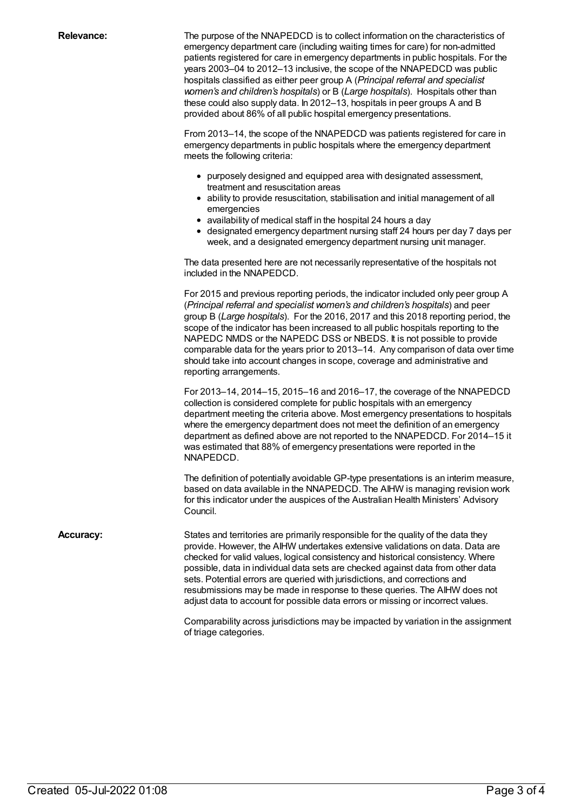**Relevance:** The purpose of the NNAPEDCD is to collect information on the characteristics of emergency department care (including waiting times for care) for non-admitted patients registered for care in emergency departments in public hospitals. For the years 2003–04 to 2012–13 inclusive, the scope of the NNAPEDCD was public hospitals classified as either peer group A (*Principal referral and specialist women's and children's hospitals*) or B (*Large hospitals*). Hospitals other than these could also supply data. In 2012–13, hospitals in peer groups A and B provided about 86% of all public hospital emergency presentations.

> From 2013–14, the scope of the NNAPEDCD was patients registered for care in emergency departments in public hospitals where the emergency department meets the following criteria:

- purposely designed and equipped area with designated assessment, treatment and resuscitation areas
- ability to provide resuscitation, stabilisation and initial management of all emergencies
- availability of medical staff in the hospital 24 hours a day
- designated emergency department nursing staff 24 hours per day 7 days per week, and a designated emergency department nursing unit manager.

The data presented here are not necessarily representative of the hospitals not included in the NNAPEDCD.

For 2015 and previous reporting periods, the indicator included only peer group A (*Principal referral and specialist women's and children's hospitals*) and peer group B (*Large hospitals*). For the 2016, 2017 and this 2018 reporting period, the scope of the indicator has been increased to all public hospitals reporting to the NAPEDC NMDS or the NAPEDC DSS or NBEDS. It is not possible to provide comparable data for the years prior to 2013–14. Any comparison of data over time should take into account changes in scope, coverage and administrative and reporting arrangements.

For 2013–14, 2014–15, 2015–16 and 2016–17, the coverage of the NNAPEDCD collection is considered complete for public hospitals with an emergency department meeting the criteria above. Most emergency presentations to hospitals where the emergency department does not meet the definition of an emergency department as defined above are not reported to the NNAPEDCD. For 2014–15 it was estimated that 88% of emergency presentations were reported in the NNAPEDCD.

The definition of potentially avoidable GP-type presentations is an interim measure, based on data available in the NNAPEDCD. The AIHW is managing revision work for this indicator under the auspices of the Australian Health Ministers' Advisory Council.

**Accuracy:** States and territories are primarily responsible for the quality of the data they provide. However, the AIHW undertakes extensive validations on data. Data are checked for valid values, logical consistency and historical consistency. Where possible, data in individual data sets are checked against data from other data sets. Potential errors are queried with jurisdictions, and corrections and resubmissions may be made in response to these queries. The AIHW does not adjust data to account for possible data errors or missing or incorrect values.

> Comparability across jurisdictions may be impacted by variation in the assignment of triage categories.